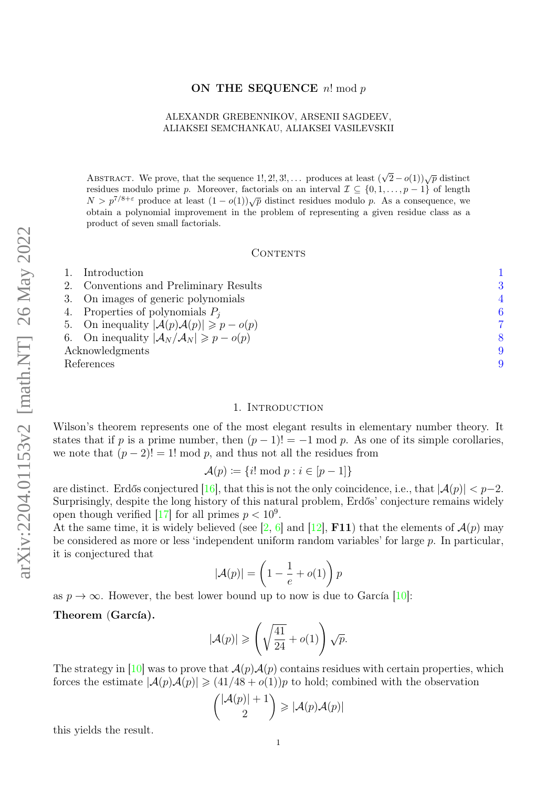# ON THE SEQUENCE  $n! \mod p$

### ALEXANDR GREBENNIKOV, ARSENII SAGDEEV, ALIAKSEI SEMCHANKAU, ALIAKSEI VASILEVSKII

ABSTRACT. We prove, that the sequence 1!, 2!, 3!, ... produces at least  $(\sqrt{2} - o(1))\sqrt{p}$  distinct residues modulo prime p. Moreover, factorials on an interval  $\mathcal{I} \subseteq \{0, 1, \ldots, p-1\}$  of length  $N > p^{7/8+\epsilon}$  produce at least  $(1 - o(1))\sqrt{p}$  distinct residues modulo p. As a consequence, we obtain a polynomial improvement in the problem of representing a given residue class as a product of seven small factorials.

#### CONTENTS

|                 | Introduction                                                         |   |
|-----------------|----------------------------------------------------------------------|---|
|                 | 2. Conventions and Preliminary Results                               | 3 |
|                 | 3. On images of generic polynomials                                  | 4 |
|                 | 4. Properties of polynomials $P_i$                                   | 6 |
|                 | 5. On inequality $ \mathcal{A}(p)\mathcal{A}(p)  \geqslant p - o(p)$ | 7 |
|                 | 6. On inequality $ \mathcal{A}_N/\mathcal{A}_N  \geqslant p - o(p)$  |   |
| Acknowledgments |                                                                      | 9 |
| References      |                                                                      |   |

#### 1. INTRODUCTION

<span id="page-0-0"></span>Wilson's theorem represents one of the most elegant results in elementary number theory. It states that if p is a prime number, then  $(p-1)! = -1 \mod p$ . As one of its simple corollaries, we note that  $(p-2)! = 1! \mod p$ , and thus not all the residues from

$$
\mathcal{A}(p) \coloneqq \{i! \bmod p : i \in [p-1]\}
$$

are distinct. Erdős conjectured [\[16\]](#page-8-2), that this is not the only coincidence, i.e., that  $|\mathcal{A}(p)| < p-2$ . Surprisingly, despite the long history of this natural problem, Erdős' conjecture remains widely open though verified  $[17]$  for all primes  $p < 10^9$ .

At the same time, it is widely believed (see [\[2,](#page-8-4) [6\]](#page-8-5) and [\[12\]](#page-8-6), F11) that the elements of  $\mathcal{A}(p)$  may be considered as more or less 'independent uniform random variables' for large p. In particular, it is conjectured that

$$
|\mathcal{A}(p)| = \left(1 - \frac{1}{e} + o(1)\right)p
$$

as  $p \to \infty$ . However, the best lower bound up to now is due to García [\[10\]](#page-8-7):

### Theorem (García).

$$
|\mathcal{A}(p)| \geqslant \left(\sqrt{\frac{41}{24}} + o(1)\right)\sqrt{p}.
$$

The strategy in [\[10\]](#page-8-7) was to prove that  $\mathcal{A}(p)\mathcal{A}(p)$  contains residues with certain properties, which forces the estimate  $|\mathcal{A}(p)\mathcal{A}(p)| \geq (41/48 + o(1))p$  to hold; combined with the observation

$$
{|\mathcal{A}(p)|+1 \choose 2} \geq |\mathcal{A}(p)\mathcal{A}(p)|
$$

this yields the result.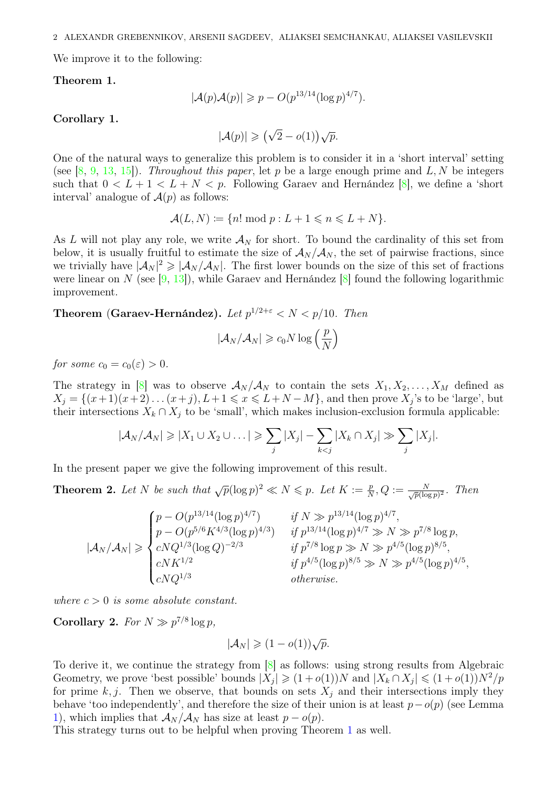We improve it to the following:

### <span id="page-1-0"></span>Theorem 1.

$$
|\mathcal{A}(p)\mathcal{A}(p)| \geqslant p - O(p^{13/14}(\log p)^{4/7}).
$$

Corollary 1.

$$
|\mathcal{A}(p)| \geqslant (\sqrt{2} - o(1))\sqrt{p}.
$$

One of the natural ways to generalize this problem is to consider it in a 'short interval' setting (see  $[8, 9, 13, 15]$  $[8, 9, 13, 15]$  $[8, 9, 13, 15]$  $[8, 9, 13, 15]$  $[8, 9, 13, 15]$  $[8, 9, 13, 15]$  $[8, 9, 13, 15]$ ). Throughout this paper, let p be a large enough prime and L, N be integers such that  $0 < L + 1 < L + N < p$ . Following Garaev and Hernández [\[8\]](#page-8-8), we define a 'short interval' analogue of  $A(p)$  as follows:

$$
\mathcal{A}(L, N) := \{ n! \bmod p : L + 1 \leqslant n \leqslant L + N \}.
$$

As L will not play any role, we write  $A_N$  for short. To bound the cardinality of this set from below, it is usually fruitful to estimate the size of  $A_N/A_N$ , the set of pairwise fractions, since we trivially have  $|A_N|^2 \geqslant |A_N/A_N|$ . The first lower bounds on the size of this set of fractions were linear on N (see  $[9, 13]$  $[9, 13]$  $[9, 13]$ ), while Garaev and Hernández  $[8]$  found the following logarithmic improvement.

Theorem (Garaev-Hernández). Let  $p^{1/2+\varepsilon} < N < p/10$ . Then

$$
|\mathcal{A}_N/\mathcal{A}_N| \geqslant c_0 N \log\left(\frac{p}{N}\right)
$$

for some  $c_0 = c_0(\varepsilon) > 0$ .

The strategy in [\[8\]](#page-8-8) was to observe  $\mathcal{A}_N/\mathcal{A}_N$  to contain the sets  $X_1, X_2, \ldots, X_M$  defined as  $X_j = \{(x+1)(x+2)\dots(x+j), L+1 \leqslant x \leqslant L+N-M\}$ , and then prove  $X_j$ 's to be 'large', but their intersections  $X_k \cap X_j$  to be 'small', which makes inclusion-exclusion formula applicable:

$$
|\mathcal{A}_N/\mathcal{A}_N| \geqslant |X_1 \cup X_2 \cup \ldots| \geqslant \sum_j |X_j| - \sum_{k < j} |X_k \cap X_j| \gg \sum_j |X_j|.
$$

In the present paper we give the following improvement of this result.

<span id="page-1-1"></span>**Theorem 2.** Let N be such that  $\sqrt{p}(\log p)^2 \ll N \leq p$ . Let  $K := \frac{p}{N}$  $\frac{p}{N}, Q := \frac{N}{\sqrt{p}(\log p)^2}$ . Then

$$
|\mathcal{A}_N/\mathcal{A}_N| \geqslant \begin{cases} p - O(p^{13/14} (\log p)^{4/7}) & \text{if } N \gg p^{13/14} (\log p)^{4/7}, \\ p - O(p^{5/6} K^{4/3} (\log p)^{4/3}) & \text{if } p^{13/14} (\log p)^{4/7} \gg N \gg p^{7/8} \log p, \\ cNQ^{1/3} (\log Q)^{-2/3} & \text{if } p^{7/8} \log p \gg N \gg p^{4/5} (\log p)^{8/5}, \\ cNQ^{1/3} & \text{otherwise.} \end{cases}
$$

where  $c > 0$  is some absolute constant.

**Corollary 2.** For  $N \gg p^{7/8} \log p$ ,

$$
|\mathcal{A}_N| \geq (1 - o(1))\sqrt{p}.
$$

To derive it, we continue the strategy from [\[8\]](#page-8-8) as follows: using strong results from Algebraic Geometry, we prove 'best possible' bounds  $|X_j| \geq (1+o(1))N$  and  $|X_k \cap X_j| \leq (1+o(1))N^2/p$ for prime k, j. Then we observe, that bounds on sets  $X_i$  and their intersections imply they behave 'too independently', and therefore the size of their union is at least  $p-o(p)$  (see Lemma [1\)](#page-2-1), which implies that  $\mathcal{A}_N/\mathcal{A}_N$  has size at least  $p - o(p)$ .

This strategy turns out to be helpful when proving Theorem [1](#page-1-0) as well.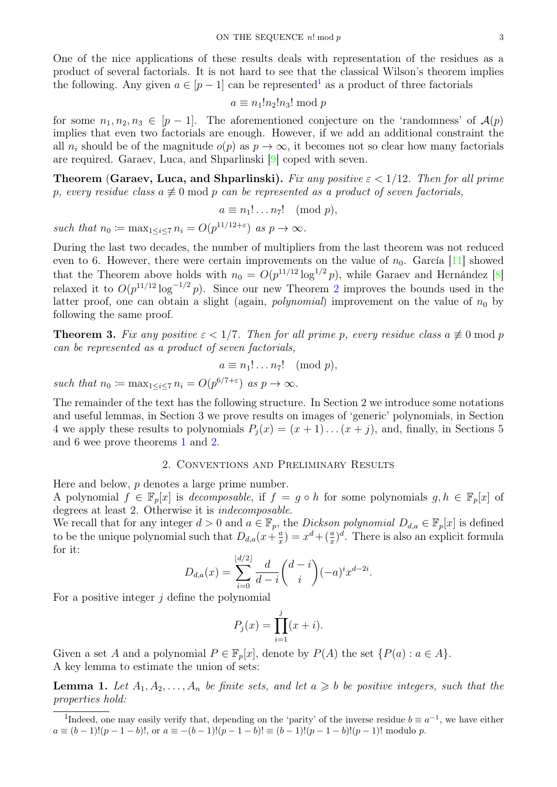One of the nice applications of these results deals with representation of the residues as a product of several factorials. It is not hard to see that the classical Wilson's theorem implies the following. Any given  $a \in [p-1]$  $a \in [p-1]$  $a \in [p-1]$  can be represented<sup>1</sup> as a product of three factorials

$$
a \equiv n_1! n_2! n_3! \bmod p
$$

for some  $n_1, n_2, n_3 \in [p-1]$ . The aforementioned conjecture on the 'randomness' of  $\mathcal{A}(p)$ implies that even two factorials are enough. However, if we add an additional constraint the all  $n_i$  should be of the magnitude  $o(p)$  as  $p \to \infty$ , it becomes not so clear how many factorials are required. Garaev, Luca, and Shparlinski [\[9\]](#page-8-9) coped with seven.

**Theorem (Garaev, Luca, and Shparlinski).** Fix any positive  $\varepsilon < 1/12$ . Then for all prime p, every residue class  $a \not\equiv 0 \mod p$  can be represented as a product of seven factorials,

 $a \equiv n_1! \dots n_7! \pmod{p},$ 

such that  $n_0 \coloneqq \max_{1 \leq i \leq 7} n_i = O(p^{11/12 + \varepsilon})$  as  $p \to \infty$ .

During the last two decades, the number of multipliers from the last theorem was not reduced even to 6. However, there were certain improvements on the value of  $n_0$ . García [\[11\]](#page-8-12) showed that the Theorem above holds with  $n_0 = O(p^{11/12} \log^{1/2} p)$ , while Garaev and Hernández [\[8\]](#page-8-8) relaxed it to  $O(p^{11/12} \log^{-1/2} p)$  $O(p^{11/12} \log^{-1/2} p)$  $O(p^{11/12} \log^{-1/2} p)$ . Since our new Theorem 2 improves the bounds used in the latter proof, one can obtain a slight (again, *polynomial*) improvement on the value of  $n_0$  by following the same proof.

**Theorem 3.** Fix any positive  $\epsilon < 1/7$ . Then for all prime p, every residue class  $a \not\equiv 0 \mod p$ can be represented as a product of seven factorials,

$$
a \equiv n_1! \dots n_7! \pmod{p},
$$

such that  $n_0 \coloneqq \max_{1 \leq i \leq 7} n_i = O(p^{6/7+\epsilon})$  as  $p \to \infty$ .

The remainder of the text has the following structure. In Section 2 we introduce some notations and useful lemmas, in Section 3 we prove results on images of 'generic' polynomials, in Section 4 we apply these results to polynomials  $P_i(x) = (x + 1)...(x + j)$ , and, finally, in Sections 5 and 6 wee prove theorems [1](#page-1-0) and [2.](#page-1-1)

# 2. Conventions and Preliminary Results

<span id="page-2-0"></span>Here and below, p denotes a large prime number.

A polynomial  $f \in \mathbb{F}_p[x]$  is *decomposable*, if  $f = g \circ h$  for some polynomials  $g, h \in \mathbb{F}_p[x]$  of degrees at least 2. Otherwise it is indecomposable.

We recall that for any integer  $d > 0$  and  $a \in \mathbb{F}_p$ , the *Dickson polynomial*  $D_{d,a} \in \mathbb{F}_p[x]$  is defined to be the unique polynomial such that  $D_{d,a}(x+\frac{a}{x})$  $(\frac{a}{x}) = x^d + (\frac{a}{x})^d$ . There is also an explicit formula for it:

$$
D_{d,a}(x) = \sum_{i=0}^{\lfloor d/2 \rfloor} \frac{d}{d-i} {d-i \choose i} (-a)^i x^{d-2i}.
$$

For a positive integer  $j$  define the polynomial

$$
P_j(x) = \prod_{i=1}^j (x+i).
$$

Given a set A and a polynomial  $P \in \mathbb{F}_p[x]$ , denote by  $P(A)$  the set  $\{P(a) : a \in A\}$ . A key lemma to estimate the union of sets:

<span id="page-2-1"></span>**Lemma 1.** Let  $A_1, A_2, \ldots, A_n$  be finite sets, and let  $a \geq b$  be positive integers, such that the properties hold:

<span id="page-2-2"></span><sup>&</sup>lt;sup>1</sup>Indeed, one may easily verify that, depending on the 'parity' of the inverse residue  $b \equiv a^{-1}$ , we have either  $a \equiv (b-1)!(p-1-b)!$ , or  $a \equiv -(b-1)!(p-1-b)! \equiv (b-1)!(p-1-b)!(p-1)!$  modulo p.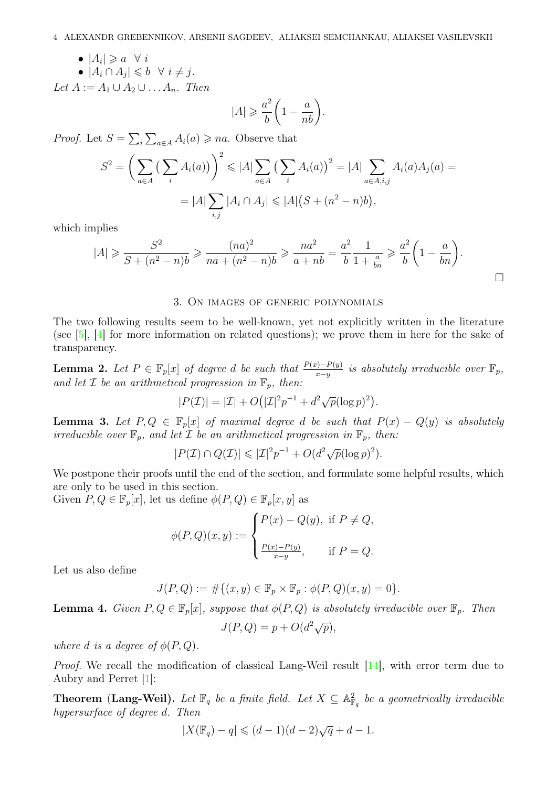4 ALEXANDR GREBENNIKOV, ARSENII SAGDEEV, ALIAKSEI SEMCHANKAU, ALIAKSEI VASILEVSKII

•  $|A_i| \geq a \quad \forall i$ 

•  $|A_i \cap A_j| \leqslant b \ \ \forall \ i \neq j$ .

Let  $A := A_1 \cup A_2 \cup \ldots A_n$ . Then

$$
|A| \geqslant \frac{a^2}{b} \bigg( 1 - \frac{a}{nb} \bigg).
$$

*Proof.* Let  $S = \sum_i \sum_{a \in A} A_i(a) \geq na$ . Observe that

$$
S^{2} = \left(\sum_{a \in A} \left(\sum_{i} A_{i}(a)\right)\right)^{2} \leq |A| \sum_{a \in A} \left(\sum_{i} A_{i}(a)\right)^{2} = |A| \sum_{a \in A, i, j} A_{i}(a) A_{j}(a) =
$$

$$
= |A| \sum_{i,j} |A_{i} \cap A_{j}| \leq |A| \left(S + (n^{2} - n)b\right),
$$

which implies

$$
|A| \ge \frac{S^2}{S + (n^2 - n)b} \ge \frac{(na)^2}{na + (n^2 - n)b} \ge \frac{na^2}{a + nb} = \frac{a^2}{b} \frac{1}{1 + \frac{a}{bn}} \ge \frac{a^2}{b} \left(1 - \frac{a}{bn}\right).
$$

### 3. On images of generic polynomials

<span id="page-3-0"></span>The two following results seem to be well-known, yet not explicitly written in the literature (see [\[5\]](#page-8-13), [\[4\]](#page-8-14) for more information on related questions); we prove them in here for the sake of transparency.

<span id="page-3-1"></span>**Lemma 2.** Let  $P \in \mathbb{F}_p[x]$  of degree d be such that  $\frac{P(x) - P(y)}{x-y}$  is absolutely irreducible over  $\mathbb{F}_p$ , and let  $\mathcal I$  be an arithmetical progression in  $\mathbb F_p$ , then:

 $|P(\mathcal{I})| = |\mathcal{I}| + O(|\mathcal{I}|^2 p^{-1} + d^2 \sqrt{p} (\log p)^2).$ 

<span id="page-3-3"></span>**Lemma 3.** Let  $P, Q \in \mathbb{F}_p[x]$  of maximal degree d be such that  $P(x) - Q(y)$  is absolutely irreducible over  $\mathbb{F}_p$ , and let  $\mathcal I$  be an arithmetical progression in  $\mathbb{F}_p$ , then:

 $|P(\mathcal{I}) \cap Q(\mathcal{I})| \leq | \mathcal{I} |^2 p^{-1} + O(d^2 \sqrt{p} (\log p)^2).$ 

We postpone their proofs until the end of the section, and formulate some helpful results, which are only to be used in this section.

Given  $P, Q \in \mathbb{F}_p[x]$ , let us define  $\phi(P, Q) \in \mathbb{F}_p[x, y]$  as

$$
\phi(P,Q)(x,y) := \begin{cases} P(x) - Q(y), & \text{if } P \neq Q, \\ \frac{P(x) - P(y)}{x - y}, & \text{if } P = Q. \end{cases}
$$

Let us also define

 $J(P,Q) := \# \{ (x, y) \in \mathbb{F}_n \times \mathbb{F}_n : \phi(P,Q)(x, y) = 0 \}.$ 

<span id="page-3-2"></span>**Lemma 4.** Given  $P, Q \in \mathbb{F}_p[x]$ , suppose that  $\phi(P, Q)$  is absolutely irreducible over  $\mathbb{F}_p$ . Then

$$
J(P,Q) = p + O(d^2\sqrt{p}),
$$

where d is a degree of  $\phi(P,Q)$ .

Proof. We recall the modification of classical Lang-Weil result [\[14\]](#page-8-15), with error term due to Aubry and Perret [\[1\]](#page-8-16):

**Theorem** (Lang-Weil). Let  $\mathbb{F}_q$  be a finite field. Let  $X \subseteq \mathbb{A}_{\mathbb{F}_q}^2$  be a geometrically irreducible hypersurface of degree d. Then

$$
|X(\mathbb{F}_q)-q| \leqslant (d-1)(d-2)\sqrt{q}+d-1.
$$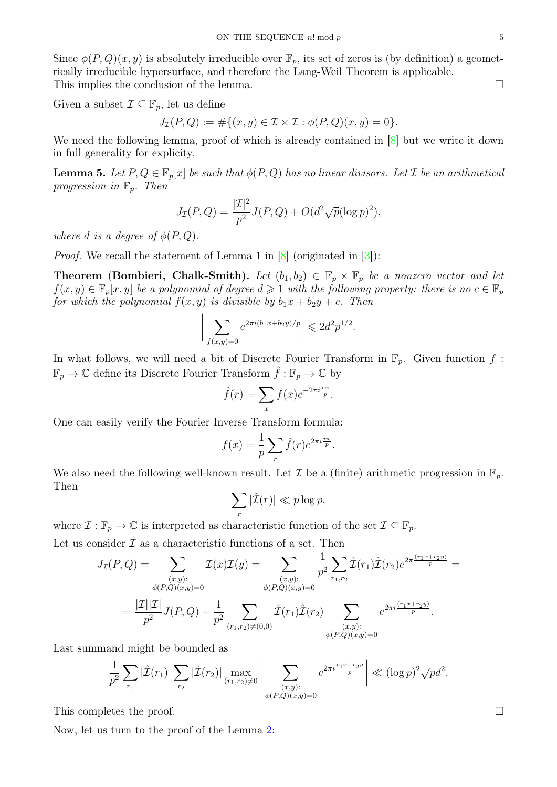Since  $\phi(P,Q)(x,y)$  is absolutely irreducible over  $\mathbb{F}_p$ , its set of zeros is (by definition) a geometrically irreducible hypersurface, and therefore the Lang-Weil Theorem is applicable. This implies the conclusion of the lemma.  $\Box$ 

Given a subset  $\mathcal{I} \subseteq \mathbb{F}_p$ , let us define

$$
J_{\mathcal{I}}(P,Q) := \# \{ (x,y) \in \mathcal{I} \times \mathcal{I} : \phi(P,Q)(x,y) = 0 \}.
$$

We need the following lemma, proof of which is already contained in  $[8]$  but we write it down in full generality for explicity.

<span id="page-4-0"></span>**Lemma 5.** Let  $P, Q \in \mathbb{F}_p[x]$  be such that  $\phi(P, Q)$  has no linear divisors. Let  $\mathcal I$  be an arithmetical progression in  $\mathbb{F}_p$ . Then

$$
J_{\mathcal{I}}(P,Q) = \frac{|\mathcal{I}|^2}{p^2} J(P,Q) + O(d^2 \sqrt{p} (\log p)^2),
$$

where d is a degree of  $\phi(P,Q)$ .

Proof. We recall the statement of Lemma 1 in  $[8]$  (originated in [\[3\]](#page-8-17)):

**Theorem (Bombieri, Chalk-Smith).** Let  $(b_1, b_2) \in \mathbb{F}_p \times \mathbb{F}_p$  be a nonzero vector and let  $f(x, y) \in \mathbb{F}_p[x, y]$  be a polynomial of degree  $d \geq 1$  with the following property: there is no  $c \in \mathbb{F}_p$ for which the polynomial  $f(x, y)$  is divisible by  $b_1x + b_2y + c$ . Then

$$
\bigg| \sum_{f(x,y)=0} e^{2\pi i (b_1 x + b_2 y)/p} \bigg| \leq 2d^2 p^{1/2}.
$$

In what follows, we will need a bit of Discrete Fourier Transform in  $\mathbb{F}_p$ . Given function f:  $\mathbb{F}_p \to \mathbb{C}$  define its Discrete Fourier Transform  $\hat{f}: \mathbb{F}_p \to \mathbb{C}$  by

$$
\hat{f}(r) = \sum_{x} f(x)e^{-2\pi i \frac{rx}{p}}.
$$

One can easily verify the Fourier Inverse Transform formula:

$$
f(x) = \frac{1}{p} \sum_{r} \hat{f}(r) e^{2\pi i \frac{rx}{p}}.
$$

We also need the following well-known result. Let  $\mathcal I$  be a (finite) arithmetic progression in  $\mathbb F_p$ . Then

$$
\sum_{r} |\hat{\mathcal{I}}(r)| \ll p \log p,
$$

where  $\mathcal{I}: \mathbb{F}_p \to \mathbb{C}$  is interpreted as characteristic function of the set  $\mathcal{I} \subseteq \mathbb{F}_p$ .

Let us consider  $\mathcal I$  as a characteristic functions of a set. Then

$$
J_{\mathcal{I}}(P,Q) = \sum_{\substack{(x,y):\\ \phi(P,Q)(x,y)=0}} \mathcal{I}(x)\mathcal{I}(y) = \sum_{\substack{(x,y):\\ \phi(P,Q)(x,y)=0}} \frac{1}{p^2} \sum_{r_1,r_2} \hat{\mathcal{I}}(r_1)\hat{\mathcal{I}}(r_2) e^{2\pi \frac{(r_1x+r_2y)}{p}} =
$$

$$
= \frac{|\mathcal{I}||\mathcal{I}|}{p^2} J(P,Q) + \frac{1}{p^2} \sum_{(r_1,r_2)\neq(0,0)} \hat{\mathcal{I}}(r_1)\hat{\mathcal{I}}(r_2) \sum_{\substack{(x,y):\\ \phi(P,Q)(x,y)=0}} e^{2\pi i \frac{(r_1x+r_2y)}{p}}.
$$

Last summand might be bounded as

$$
\frac{1}{p^2} \sum_{r_1} |\hat{\mathcal{I}}(r_1)| \sum_{r_2} |\hat{\mathcal{I}}(r_2)| \max_{(r_1,r_2)\neq 0} \Bigg| \sum_{\substack{(x,y):\\ \phi(P,Q)(x,y)=0}} e^{2\pi i \frac{r_1 x + r_2 y}{p}} \Bigg| \ll (\log p)^2 \sqrt{p} d^2.
$$

This completes the proof.

Now, let us turn to the proof of the Lemma [2:](#page-3-1)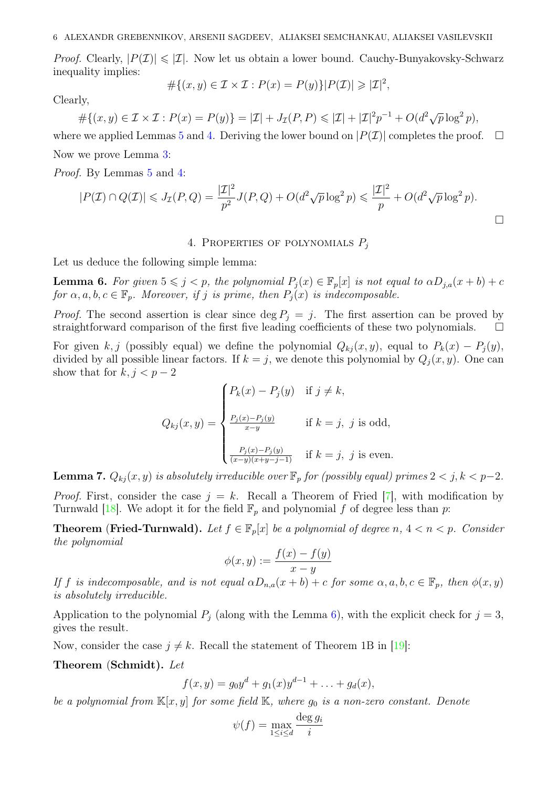*Proof.* Clearly,  $|P(\mathcal{I})| \leq |\mathcal{I}|$ . Now let us obtain a lower bound. Cauchy-Bunyakovsky-Schwarz inequality implies:

$$
\#\{(x,y)\in\mathcal{I}\times\mathcal{I}:P(x)=P(y)\}|P(\mathcal{I})|\geqslant |\mathcal{I}|^2,
$$

Clearly,

$$
#\{(x,y)\in \mathcal{I}\times\mathcal{I}: P(x)=P(y)\} = |\mathcal{I}| + J_{\mathcal{I}}(P,P) \leq |\mathcal{I}| + |\mathcal{I}|^2 p^{-1} + O(d^2 \sqrt{p} \log^2 p),
$$

where we applied Lemmas [5](#page-4-0) and [4.](#page-3-2) Deriving the lower bound on  $|P(\mathcal{I})|$  completes the proof.  $\square$ Now we prove Lemma [3:](#page-3-3)

Proof. By Lemmas [5](#page-4-0) and [4:](#page-3-2)

$$
|P(\mathcal{I}) \cap Q(\mathcal{I})| \leqslant J_{\mathcal{I}}(P, Q) = \frac{|\mathcal{I}|^2}{p^2} J(P, Q) + O(d^2 \sqrt{p} \log^2 p) \leqslant \frac{|\mathcal{I}|^2}{p} + O(d^2 \sqrt{p} \log^2 p).
$$

## 4. PROPERTIES OF POLYNOMIALS  $P_i$

<span id="page-5-0"></span>Let us deduce the following simple lemma:

<span id="page-5-1"></span>**Lemma 6.** For given  $5 \leq j < p$ , the polynomial  $P_j(x) \in \mathbb{F}_p[x]$  is not equal to  $\alpha D_{j,a}(x+b) + c$ for  $\alpha, a, b, c \in \mathbb{F}_p$ . Moreover, if j is prime, then  $P_i(x)$  is indecomposable.

*Proof.* The second assertion is clear since  $\deg P_i = j$ . The first assertion can be proved by straightforward comparison of the first five leading coefficients of these two polynomials.  $\Box$ 

For given k, j (possibly equal) we define the polynomial  $Q_{ki}(x, y)$ , equal to  $P_k(x) - P_i(y)$ , divided by all possible linear factors. If  $k = j$ , we denote this polynomial by  $Q_j(x, y)$ . One can show that for  $k, j < p-2$ 

$$
Q_{kj}(x,y) = \begin{cases} P_k(x) - P_j(y) & \text{if } j \neq k, \\ \frac{P_j(x) - P_j(y)}{x - y} & \text{if } k = j, j \text{ is odd,} \\ \frac{P_j(x) - P_j(y)}{(x - y)(x + y - j - 1)} & \text{if } k = j, j \text{ is even.} \end{cases}
$$

<span id="page-5-2"></span>**Lemma 7.**  $Q_{kj}(x, y)$  is absolutely irreducible over  $\mathbb{F}_p$  for (possibly equal) primes  $2 < j, k < p-2$ .

*Proof.* First, consider the case  $j = k$ . Recall a Theorem of Fried [\[7\]](#page-8-18), with modification by Turnwald [\[18\]](#page-8-19). We adopt it for the field  $\mathbb{F}_p$  and polynomial f of degree less than p:

**Theorem (Fried-Turnwald).** Let  $f \in \mathbb{F}_p[x]$  be a polynomial of degree n,  $4 < n < p$ . Consider the polynomial

$$
\phi(x,y) := \frac{f(x) - f(y)}{x - y}
$$

If f is indecomposable, and is not equal  $\alpha D_{n,a}(x+b) + c$  for some  $\alpha, a, b, c \in \mathbb{F}_p$ , then  $\phi(x, y)$ is absolutely irreducible.

Application to the polynomial  $P_j$  (along with the Lemma [6\)](#page-5-1), with the explicit check for  $j=3$ , gives the result.

Now, consider the case  $j \neq k$ . Recall the statement of Theorem 1B in [\[19\]](#page-8-20):

Theorem (Schmidt). Let

$$
f(x,y) = g_0 y^d + g_1(x) y^{d-1} + \ldots + g_d(x),
$$

be a polynomial from  $\mathbb{K}[x, y]$  for some field  $\mathbb{K}$ , where  $g_0$  is a non-zero constant. Denote

$$
\psi(f) = \max_{1 \le i \le d} \frac{\deg g_i}{i}
$$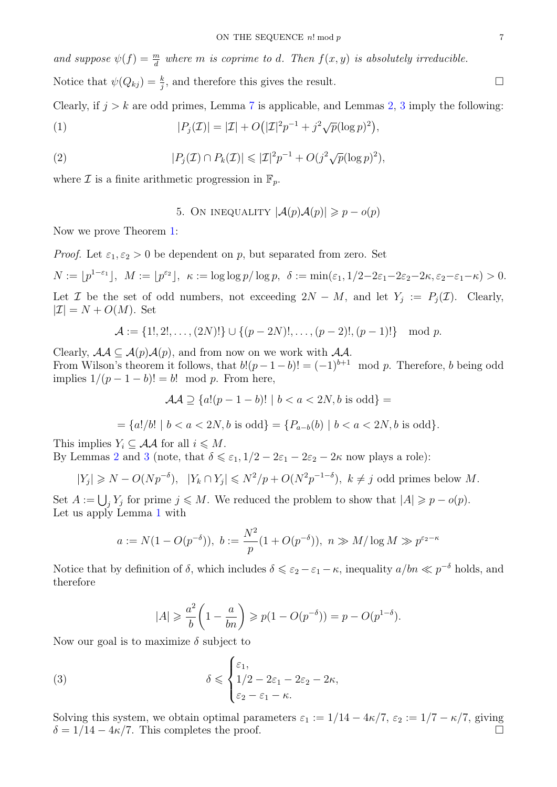and suppose  $\psi(f) = \frac{m}{d}$  where m is coprime to d. Then  $f(x, y)$  is absolutely irreducible. Notice that  $\psi(Q_{kj}) = \frac{k}{j}$ , and therefore this gives the result.

Clearly, if  $j > k$  are odd primes, Lemma [7](#page-5-2) is applicable, and Lemmas [2,](#page-3-1) [3](#page-3-3) imply the following: (1)  $|P_j(\mathcal{I})| = |\mathcal{I}| + O(|\mathcal{I}|^2 p^{-1} + j^2 \sqrt{p} (\log p)^2),$ 

(2) 
$$
|P_j(\mathcal{I}) \cap P_k(\mathcal{I})| \leqslant |\mathcal{I}|^2 p^{-1} + O(j^2 \sqrt{p} (\log p)^2),
$$

where  $\mathcal I$  is a finite arithmetic progression in  $\mathbb F_p$ .

5. ON INEQUALITY  $|\mathcal{A}(p)\mathcal{A}(p)| \geqslant p - o(p)$ 

<span id="page-6-0"></span>Now we prove Theorem [1:](#page-1-0)

*Proof.* Let  $\varepsilon_1, \varepsilon_2 > 0$  be dependent on p, but separated from zero. Set

 $N := \lfloor p^{1-\varepsilon_1} \rfloor$ ,  $M := \lfloor p^{\varepsilon_2} \rfloor$ ,  $\kappa := \log \log p / \log p$ ,  $\delta := \min(\varepsilon_1, 1/2 - 2\varepsilon_1 - 2\varepsilon_2 - 2\kappa, \varepsilon_2 - \varepsilon_1 - \kappa) > 0$ .

Let  $\mathcal I$  be the set of odd numbers, not exceeding  $2N-M$ , and let  $Y_j := P_j(\mathcal I)$ . Clearly,  $|\mathcal{I}| = N + O(M)$ . Set

$$
\mathcal{A} := \{1!, 2!, \ldots, (2N)!\} \cup \{(p-2N)!, \ldots, (p-2)!, (p-1)!\} \mod p.
$$

Clearly,  $\mathcal{A}\mathcal{A} \subseteq \mathcal{A}(p)\mathcal{A}(p)$ , and from now on we work with  $\mathcal{A}\mathcal{A}$ . From Wilson's theorem it follows, that  $b!(p-1-b)! = (-1)^{b+1} \mod p$ . Therefore, b being odd implies  $1/(p-1-b)! = b! \mod p$ . From here,

$$
\mathcal{A}\mathcal{A} \supseteq \{a!(p-1-b)!\mid b < a < 2N, b \text{ is odd}\} =
$$

$$
= \{a!/b! \mid b < a < 2N, b \text{ is odd}\} = \{P_{a-b}(b) \mid b < a < 2N, b \text{ is odd}\}.
$$

This implies  $Y_i \subseteq \mathcal{A} \mathcal{A}$  for all  $i \leqslant M$ .

By Lemmas [2](#page-3-1) and [3](#page-3-3) (note, that  $\delta \leq \varepsilon_1$ ,  $1/2 - 2\varepsilon_1 - 2\varepsilon_2 - 2\kappa$  now plays a role):

$$
|Y_j| \ge N - O(Np^{-\delta}), \ |Y_k \cap Y_j| \le N^2/p + O(N^2p^{-1-\delta}), \ k \ne j \text{ odd primes below } M.
$$

Set  $A := \bigcup_j Y_j$  for prime  $j \leq M$ . We reduced the problem to show that  $|A| \geq p - o(p)$ . Let us apply Lemma [1](#page-2-1) with

$$
a := N(1 - O(p^{-\delta})), b := \frac{N^2}{p}(1 + O(p^{-\delta})), n \gg M/\log M \gg p^{\varepsilon_2 - \kappa}
$$

Notice that by definition of  $\delta$ , which includes  $\delta \leq \varepsilon_2 - \varepsilon_1 - \kappa$ , inequality  $a/bn \ll p^{-\delta}$  holds, and therefore

$$
|A| \geqslant \frac{a^2}{b} \left( 1 - \frac{a}{bn} \right) \geqslant p(1 - O(p^{-\delta})) = p - O(p^{1-\delta}).
$$

Now our goal is to maximize  $\delta$  subject to

(3) 
$$
\delta \leqslant \begin{cases} \varepsilon_1, \\ 1/2 - 2\varepsilon_1 - 2\varepsilon_2 - 2\kappa, \\ \varepsilon_2 - \varepsilon_1 - \kappa. \end{cases}
$$

Solving this system, we obtain optimal parameters  $\varepsilon_1 := 1/14 - 4\kappa/7$ ,  $\varepsilon_2 := 1/7 - \kappa/7$ , giving  $\delta = 1/14 - 4\kappa/7$ . This completes the proof.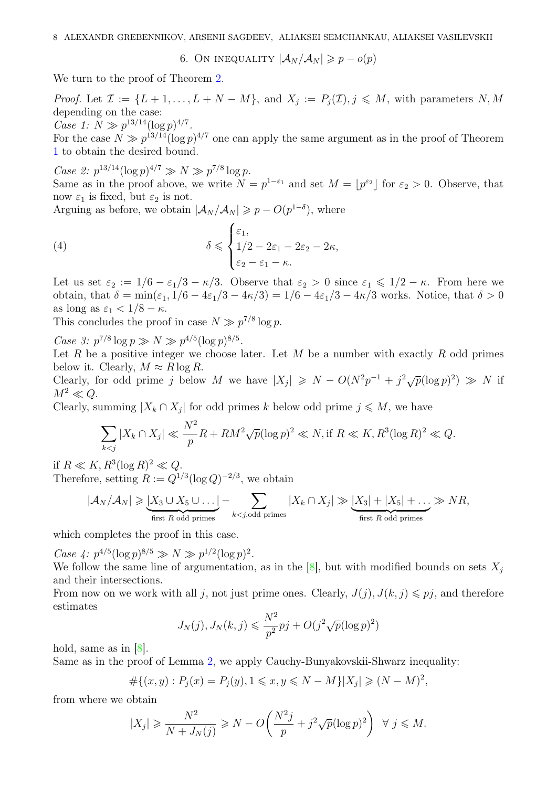6. ON INEQUALITY  $|\mathcal{A}_N/\mathcal{A}_N| \geqslant p - o(p)$ 

<span id="page-7-0"></span>We turn to the proof of Theorem [2.](#page-1-1)

*Proof.* Let  $\mathcal{I} := \{L+1,\ldots,L+N-M\}$ , and  $X_j := P_j(\mathcal{I}), j \leqslant M$ , with parameters N, M depending on the case: Case 1:  $N \gg p^{13/14} (\log p)^{4/7}$ .

For the case  $N \gg p^{13/14} (\log p)^{4/7}$  one can apply the same argument as in the proof of Theorem [1](#page-1-0) to obtain the desired bound.

Case 2:  $p^{13/14} (\log p)^{4/7} \gg N \gg p^{7/8} \log p$ .

Same as in the proof above, we write  $N = p^{1-\varepsilon_1}$  and set  $M = \lfloor p^{\varepsilon_2} \rfloor$  for  $\varepsilon_2 > 0$ . Observe, that now  $\varepsilon_1$  is fixed, but  $\varepsilon_2$  is not.

Arguing as before, we obtain  $|\mathcal{A}_N/\mathcal{A}_N| \geqslant p - O(p^{1-\delta})$ , where

(4) 
$$
\delta \leqslant \begin{cases} \varepsilon_1, \\ 1/2 - 2\varepsilon_1 - 2\varepsilon_2 - 2\kappa, \\ \varepsilon_2 - \varepsilon_1 - \kappa. \end{cases}
$$

Let us set  $\varepsilon_2 := 1/6 - \varepsilon_1/3 - \kappa/3$ . Observe that  $\varepsilon_2 > 0$  since  $\varepsilon_1 \leq 1/2 - \kappa$ . From here we obtain, that  $\delta = \min(\epsilon_1, 1/6 - 4\epsilon_1/3 - 4\kappa/3) = 1/6 - 4\epsilon_1/3 - 4\kappa/3$  works. Notice, that  $\delta > 0$ as long as  $\varepsilon_1 < 1/8 - \kappa$ .

This concludes the proof in case  $N \gg p^{7/8} \log p$ .

Case 3:  $p^{7/8} \log p \gg N \gg p^{4/5} (\log p)^{8/5}$ .

Let R be a positive integer we choose later. Let M be a number with exactly R odd primes below it. Clearly,  $M \approx R \log R$ .

Clearly, for odd prime j below M we have  $|X_j| \geq N - O(N^2p^{-1} + j^2\sqrt{p}(\log p)^2) \gg N$  if  $M^2 \ll Q$ .

Clearly, summing  $|X_k \cap X_j|$  for odd primes k below odd prime  $j \leq M$ , we have

$$
\sum_{k < j} |X_k \cap X_j| \ll \frac{N^2}{p} R + RM^2 \sqrt{p} (\log p)^2 \ll N, \text{if } R \ll K, R^3 (\log R)^2 \ll Q.
$$

if  $R \ll K$ ,  $R^3(\log R)^2 \ll Q$ . Therefore, setting  $R := Q^{1/3} (\log Q)^{-2/3}$ , we obtain

$$
|\mathcal{A}_N/\mathcal{A}_N| \geq \underbrace{|X_3 \cup X_5 \cup \ldots}_{\text{first } R \text{ odd primes}} - \sum_{k < j, \text{odd primes}} |X_k \cap X_j| \gg \underbrace{|X_3| + |X_5| + \ldots}_{\text{first } R \text{ odd primes}} \gg NR,
$$

which completes the proof in this case.

Case 4:  $p^{4/5} (\log p)^{8/5} \gg N \gg p^{1/2} (\log p)^2$ .

We follow the same line of argumentation, as in the [\[8\]](#page-8-8), but with modified bounds on sets  $X_i$ and their intersections.

From now on we work with all j, not just prime ones. Clearly,  $J(i)$ ,  $J(k, j) \leqslant p_j$ , and therefore estimates

$$
J_N(j), J_N(k,j) \leqslant \frac{N^2}{p^2}pj + O(j^2\sqrt{p}(\log p)^2)
$$

hold, same as in  $[8]$ .

Same as in the proof of Lemma [2,](#page-3-1) we apply Cauchy-Bunyakovskii-Shwarz inequality:

$$
\#\{(x,y): P_j(x) = P_j(y), 1 \le x, y \le N - M\}|X_j| \ge (N - M)^2,
$$

from where we obtain

$$
|X_j| \geqslant \frac{N^2}{N + J_N(j)} \geqslant N - O\left(\frac{N^2j}{p} + j^2\sqrt{p}(\log p)^2\right) \ \ \forall \ j \leqslant M.
$$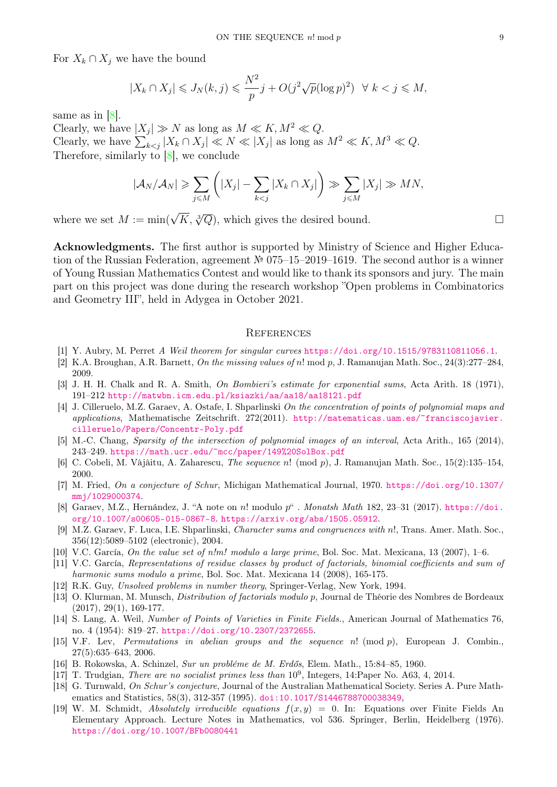For  $X_k \cap X_j$  we have the bound

$$
|X_k \cap X_j| \leqslant J_N(k,j) \leqslant \frac{N^2}{p} j + O(j^2 \sqrt{p} (\log p)^2) \quad \forall \ k < j \leqslant M,
$$

same as in [\[8\]](#page-8-8).

Clearly, we have  $|X_j| \gg N$  as long as  $M \ll K, M^2 \ll Q$ . Clearly, we have  $\sum_{k < j} |X_k \cap X_j| \ll N \ll |X_j|$  as long as  $M^2 \ll K, M^3 \ll Q$ . Therefore, similarly to [\[8\]](#page-8-8), we conclude

$$
|\mathcal{A}_N/\mathcal{A}_N| \geqslant \sum_{j\leqslant M} \left( |X_j| - \sum_{k < j} |X_k \cap X_j| \right) \gg \sum_{j \leqslant M} |X_j| \gg MN,
$$

where we set  $M := min(\sqrt{K}, \sqrt[3]{Q})$ , which gives the desired bound.

<span id="page-8-0"></span>Acknowledgments. The first author is supported by Ministry of Science and Higher Education of the Russian Federation, agreement № 075–15–2019–1619. The second author is a winner of Young Russian Mathematics Contest and would like to thank its sponsors and jury. The main part on this project was done during the research workshop "Open problems in Combinatorics and Geometry III", held in Adygea in October 2021.

#### <span id="page-8-1"></span>**REFERENCES**

- <span id="page-8-16"></span>[1] Y. Aubry, M. Perret A Weil theorem for singular curves <https://doi.org/10.1515/9783110811056.1>.
- <span id="page-8-4"></span>[2] K.A. Broughan, A.R. Barnett, On the missing values of n! mod p, J. Ramanujan Math. Soc., 24(3):277–284, 2009.
- <span id="page-8-17"></span>[3] J. H. H. Chalk and R. A. Smith, On Bombieri's estimate for exponential sums, Acta Arith. 18 (1971), 191–212 <http://matwbn.icm.edu.pl/ksiazki/aa/aa18/aa18121.pdf>
- <span id="page-8-14"></span>[4] J. Cilleruelo, M.Z. Garaev, A. Ostafe, I. Shparlinski On the concentration of points of polynomial maps and applications, Mathematische Zeitschrift. 272(2011). [http://matematicas.uam.es/~franciscojavier.](http://matematicas.uam.es/~franciscojavier.cilleruelo/Papers/Concentr-Poly.pdf) [cilleruelo/Papers/Concentr-Poly.pdf](http://matematicas.uam.es/~franciscojavier.cilleruelo/Papers/Concentr-Poly.pdf)
- <span id="page-8-13"></span>[5] M.-C. Chang, Sparsity of the intersection of polynomial images of an interval, Acta Arith., 165 (2014), 243–249. <https://math.ucr.edu/~mcc/paper/149%20SolBox.pdf>
- <span id="page-8-5"></span>[6] C. Cobeli, M. Vâjâitu, A. Zaharescu, The sequence n! (mod p), J. Ramanujan Math. Soc., 15(2):135–154, 2000.
- <span id="page-8-18"></span>[7] M. Fried, On a conjecture of Schur, Michigan Mathematical Journal, 1970. [https://doi.org/10.1307/](https://doi.org/10.1307/mmj/1029000374) [mmj/1029000374](https://doi.org/10.1307/mmj/1029000374).
- <span id="page-8-8"></span>[8] Garaev, M.Z., Hernández, J. "A note on n! modulo p". Monatsh Math 182, 23-31 (2017). [https://doi.](https://doi.org/10.1007/s00605-015-0867-8) [org/10.1007/s00605-015-0867-8](https://doi.org/10.1007/s00605-015-0867-8). <https://arxiv.org/abs/1505.05912>.
- <span id="page-8-9"></span>[9] M.Z. Garaev, F. Luca, I.E. Shparlinski, Character sums and congruences with n!, Trans. Amer. Math. Soc., 356(12):5089–5102 (electronic), 2004.
- <span id="page-8-7"></span>[10] V.C. García, On the value set of n!m! modulo a large prime, Bol. Soc. Mat. Mexicana, 13 (2007), 1–6.
- <span id="page-8-12"></span>[11] V.C. García, Representations of residue classes by product of factorials, binomial coefficients and sum of harmonic sums modulo a prime, Bol. Soc. Mat. Mexicana 14 (2008), 165-175.
- <span id="page-8-6"></span>[12] R.K. Guy, Unsolved problems in number theory, Springer-Verlag, New York, 1994.
- <span id="page-8-10"></span>[13] O. Klurman, M. Munsch, Distribution of factorials modulo p, Journal de Théorie des Nombres de Bordeaux (2017), 29(1), 169-177.
- <span id="page-8-15"></span>[14] S. Lang, A. Weil, Number of Points of Varieties in Finite Fields., American Journal of Mathematics 76, no. 4 (1954): 819–27. <https://doi.org/10.2307/2372655>.
- <span id="page-8-11"></span>[15] V.F. Lev, Permutations in abelian groups and the sequence n! (mod p), European J. Combin., 27(5):635–643, 2006.
- <span id="page-8-2"></span>[16] B. Rokowska, A. Schinzel, Sur un probléme de M. Erdős, Elem. Math., 15:84–85, 1960.
- <span id="page-8-3"></span>[17] T. Trudgian, *There are no socialist primes less than*  $10^9$ , Integers, 14: Paper No. A63, 4, 2014.
- <span id="page-8-19"></span>[18] G. Turnwald, On Schur's conjecture, Journal of the Australian Mathematical Society. Series A. Pure Mathematics and Statistics, 58(3), 312-357 (1995). <doi:10.1017/S1446788700038349>,
- <span id="page-8-20"></span>[19] W. M. Schmidt, Absolutely irreducible equations  $f(x, y) = 0$ . In: Equations over Finite Fields An Elementary Approach. Lecture Notes in Mathematics, vol 536. Springer, Berlin, Heidelberg (1976). <https://doi.org/10.1007/BFb0080441>